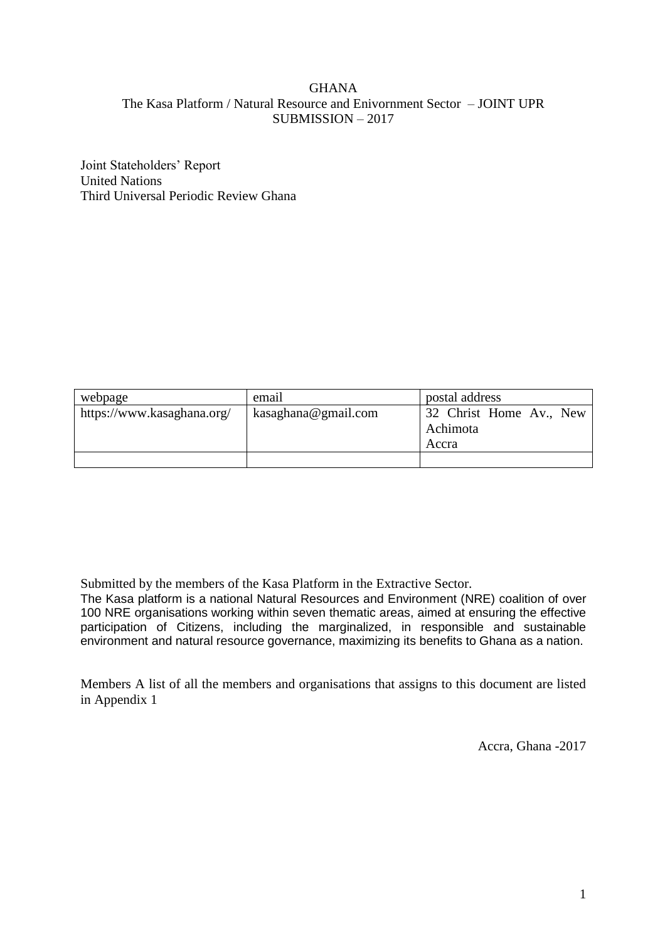#### GHANA The Kasa Platform / Natural Resource and Enivornment Sector – JOINT UPR SUBMISSION – 2017

Joint Stateholders' Report United Nations Third Universal Periodic Review Ghana

| webpage                    | email               | postal address                               |
|----------------------------|---------------------|----------------------------------------------|
| https://www.kasaghana.org/ | kasaghana@gmail.com | 32 Christ Home Av., New<br>Achimota<br>Accra |
|                            |                     |                                              |

Submitted by the members of the Kasa Platform in the Extractive Sector.

The Kasa platform is a national Natural Resources and Environment (NRE) coalition of over 100 NRE organisations working within seven thematic areas, aimed at ensuring the effective participation of Citizens, including the marginalized, in responsible and sustainable environment and natural resource governance, maximizing its benefits to Ghana as a nation.

Members A list of all the members and organisations that assigns to this document are listed in Appendix 1

Accra, Ghana -2017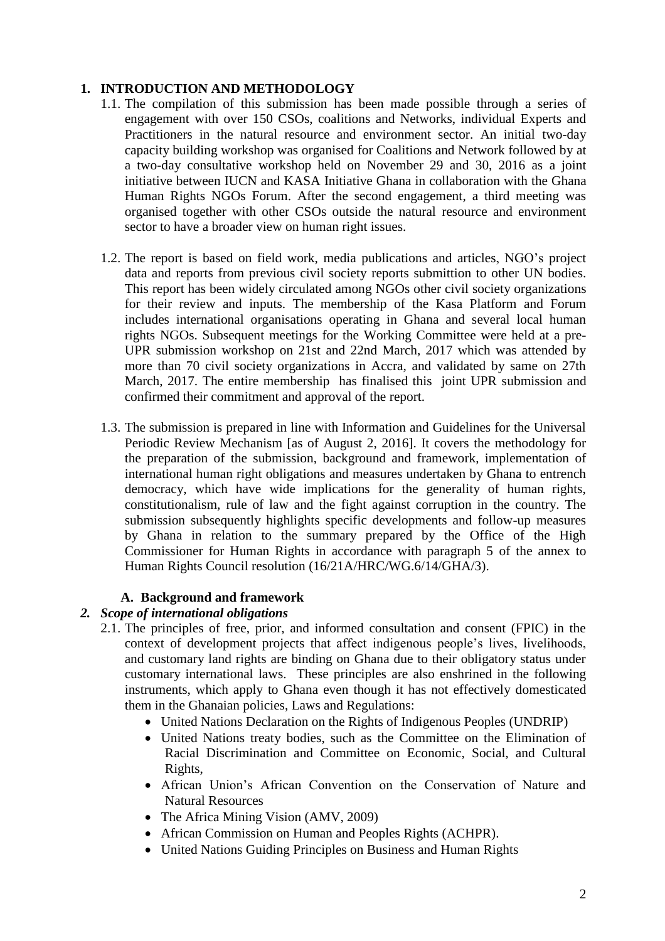## **1. INTRODUCTION AND METHODOLOGY**

- 1.1. The compilation of this submission has been made possible through a series of engagement with over 150 CSOs, coalitions and Networks, individual Experts and Practitioners in the natural resource and environment sector. An initial two-day capacity building workshop was organised for Coalitions and Network followed by at a two-day consultative workshop held on November 29 and 30, 2016 as a joint initiative between IUCN and KASA Initiative Ghana in collaboration with the Ghana Human Rights NGOs Forum. After the second engagement, a third meeting was organised together with other CSOs outside the natural resource and environment sector to have a broader view on human right issues.
- 1.2. The report is based on field work, media publications and articles, NGO's project data and reports from previous civil society reports submittion to other UN bodies. This report has been widely circulated among NGOs other civil society organizations for their review and inputs. The membership of the Kasa Platform and Forum includes international organisations operating in Ghana and several local human rights NGOs. Subsequent meetings for the Working Committee were held at a pre-UPR submission workshop on 21st and 22nd March, 2017 which was attended by more than 70 civil society organizations in Accra, and validated by same on 27th March, 2017. The entire membership has finalised this joint UPR submission and confirmed their commitment and approval of the report.
- 1.3. The submission is prepared in line with Information and Guidelines for the Universal Periodic Review Mechanism [as of August 2, 2016]. It covers the methodology for the preparation of the submission, background and framework, implementation of international human right obligations and measures undertaken by Ghana to entrench democracy, which have wide implications for the generality of human rights, constitutionalism, rule of law and the fight against corruption in the country. The submission subsequently highlights specific developments and follow-up measures by Ghana in relation to the summary prepared by the Office of the High Commissioner for Human Rights in accordance with paragraph 5 of the annex to Human Rights Council resolution (16/21A/HRC/WG.6/14/GHA/3).

### **A. Background and framework**

### *2. Scope of international obligations*

- 2.1. The principles of free, prior, and informed consultation and consent (FPIC) in the context of development projects that affect indigenous people's lives, livelihoods, and customary land rights are binding on Ghana due to their obligatory status under customary international laws. These principles are also enshrined in the following instruments, which apply to Ghana even though it has not effectively domesticated them in the Ghanaian policies, Laws and Regulations:
	- United Nations Declaration on the Rights of Indigenous Peoples (UNDRIP)
	- United Nations treaty bodies, such as the Committee on the Elimination of Racial Discrimination and Committee on Economic, Social, and Cultural Rights,
	- African Union's African Convention on the Conservation of Nature and Natural Resources
	- The Africa Mining Vision (AMV, 2009)
	- African Commission on Human and Peoples Rights (ACHPR).
	- United Nations Guiding Principles on Business and Human Rights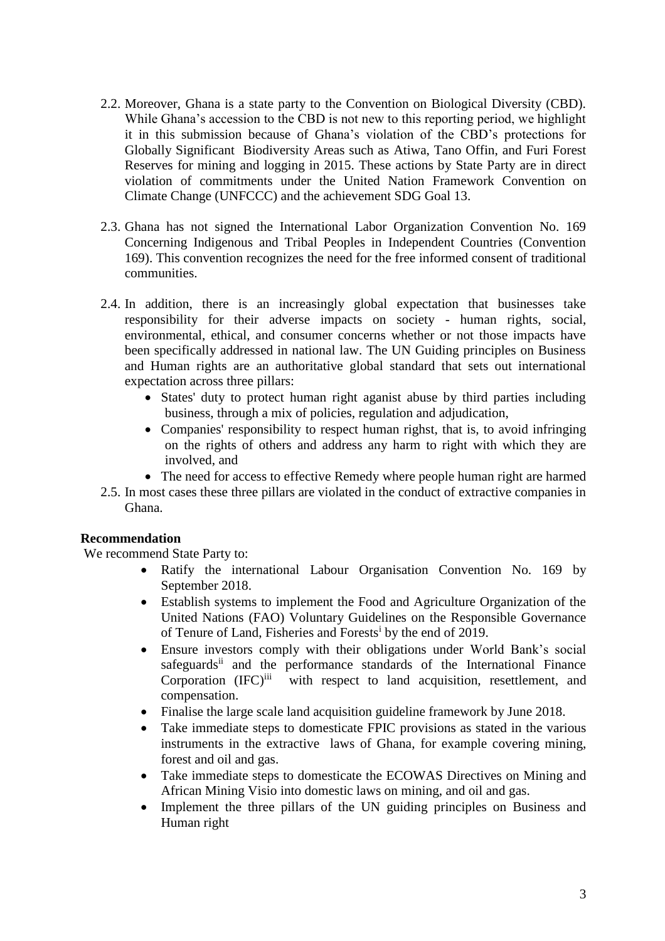- 2.2. Moreover, Ghana is a state party to the Convention on Biological Diversity (CBD). While Ghana's accession to the CBD is not new to this reporting period, we highlight it in this submission because of Ghana's violation of the CBD's protections for Globally Significant Biodiversity Areas such as Atiwa, Tano Offin, and Furi Forest Reserves for mining and logging in 2015. These actions by State Party are in direct violation of commitments under the United Nation Framework Convention on Climate Change (UNFCCC) and the achievement SDG Goal 13.
- 2.3. Ghana has not signed the International Labor Organization Convention No. 169 Concerning Indigenous and Tribal Peoples in Independent Countries (Convention 169). This convention recognizes the need for the free informed consent of traditional communities.
- 2.4. In addition, there is an increasingly global expectation that businesses take responsibility for their adverse impacts on society - human rights, social, environmental, ethical, and consumer concerns whether or not those impacts have been specifically addressed in national law. The UN Guiding principles on Business and Human rights are an authoritative global standard that sets out international expectation across three pillars:
	- States' duty to protect human right aganist abuse by third parties including business, through a mix of policies, regulation and adjudication,
	- Companies' responsibility to respect human righst, that is, to avoid infringing on the rights of others and address any harm to right with which they are involved, and
	- The need for access to effective Remedy where people human right are harmed
- 2.5. In most cases these three pillars are violated in the conduct of extractive companies in Ghana.

#### **Recommendation**

We recommend State Party to:

- Ratify the international Labour Organisation Convention No. 169 by September 2018.
- Establish systems to implement the Food and Agriculture Organization of the United Nations (FAO) Voluntary Guidelines on the Responsible Governance of Tenure of Land, Fisheries and Forests<sup>i</sup> by the end of 2019.
- Ensure investors comply with their obligations under World Bank's social safeguards<sup>ii</sup> and the performance standards of the International Finance Corporation (IFC)<sup>iii</sup> with respect to land acquisition, resettlement, and compensation.
- Finalise the large scale land acquisition guideline framework by June 2018.
- Take immediate steps to domesticate FPIC provisions as stated in the various instruments in the extractive laws of Ghana, for example covering mining, forest and oil and gas.
- Take immediate steps to domesticate the ECOWAS Directives on Mining and African Mining Visio into domestic laws on mining, and oil and gas.
- Implement the three pillars of the UN guiding principles on Business and Human right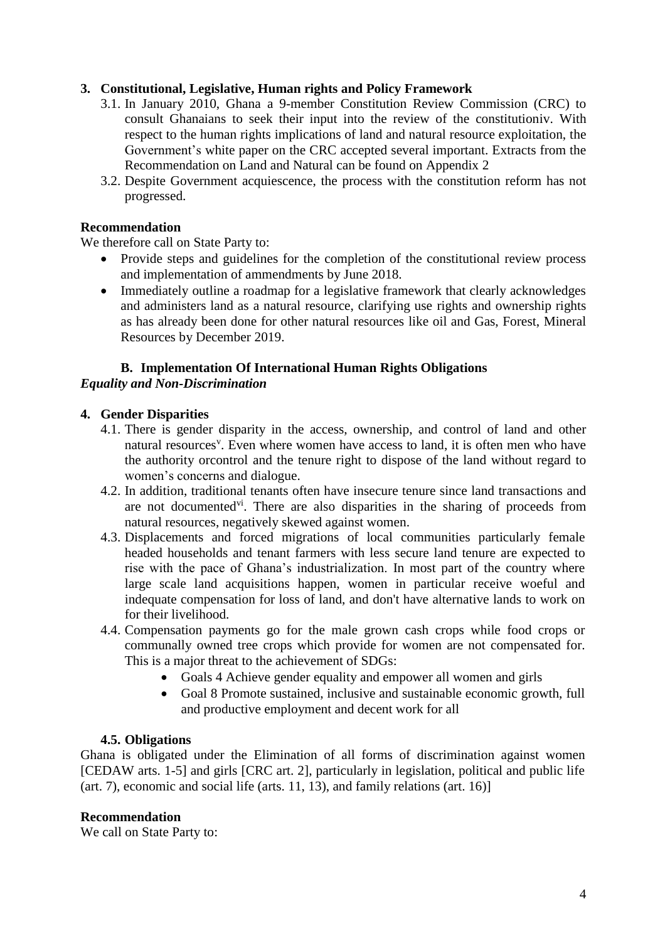## **3. Constitutional, Legislative, Human rights and Policy Framework**

- 3.1. In January 2010, Ghana a 9-member Constitution Review Commission (CRC) to consult Ghanaians to seek their input into the review of the constitutioniv. With respect to the human rights implications of land and natural resource exploitation, the Government's white paper on the CRC accepted several important. Extracts from the Recommendation on Land and Natural can be found on Appendix 2
- 3.2. Despite Government acquiescence, the process with the constitution reform has not progressed.

#### **Recommendation**

We therefore call on State Party to:

- Provide steps and guidelines for the completion of the constitutional review process and implementation of ammendments by June 2018.
- Immediately outline a roadmap for a legislative framework that clearly acknowledges and administers land as a natural resource, clarifying use rights and ownership rights as has already been done for other natural resources like oil and Gas, Forest, Mineral Resources by December 2019.

# **B. Implementation Of International Human Rights Obligations**

## *Equality and Non-Discrimination*

## **4. Gender Disparities**

- 4.1. There is gender disparity in the access, ownership, and control of land and other natural resources<sup>v</sup>. Even where women have access to land, it is often men who have the authority orcontrol and the tenure right to dispose of the land without regard to women's concerns and dialogue.
- 4.2. In addition, traditional tenants often have insecure tenure since land transactions and are not documented<sup>vi</sup>. There are also disparities in the sharing of proceeds from natural resources, negatively skewed against women.
- 4.3. Displacements and forced migrations of local communities particularly female headed households and tenant farmers with less secure land tenure are expected to rise with the pace of Ghana's industrialization. In most part of the country where large scale land acquisitions happen, women in particular receive woeful and indequate compensation for loss of land, and don't have alternative lands to work on for their livelihood.
- 4.4. Compensation payments go for the male grown cash crops while food crops or communally owned tree crops which provide for women are not compensated for. This is a major threat to the achievement of SDGs:
	- Goals 4 Achieve gender equality and empower all women and girls
	- Goal 8 Promote sustained, inclusive and sustainable economic growth, full and productive employment and decent work for all

### **4.5. Obligations**

Ghana is obligated under the Elimination of all forms of discrimination against women [CEDAW arts. 1-5] and girls [CRC art. 2], particularly in legislation, political and public life (art. 7), economic and social life (arts. 11, 13), and family relations (art. 16)]

#### **Recommendation**

We call on State Party to: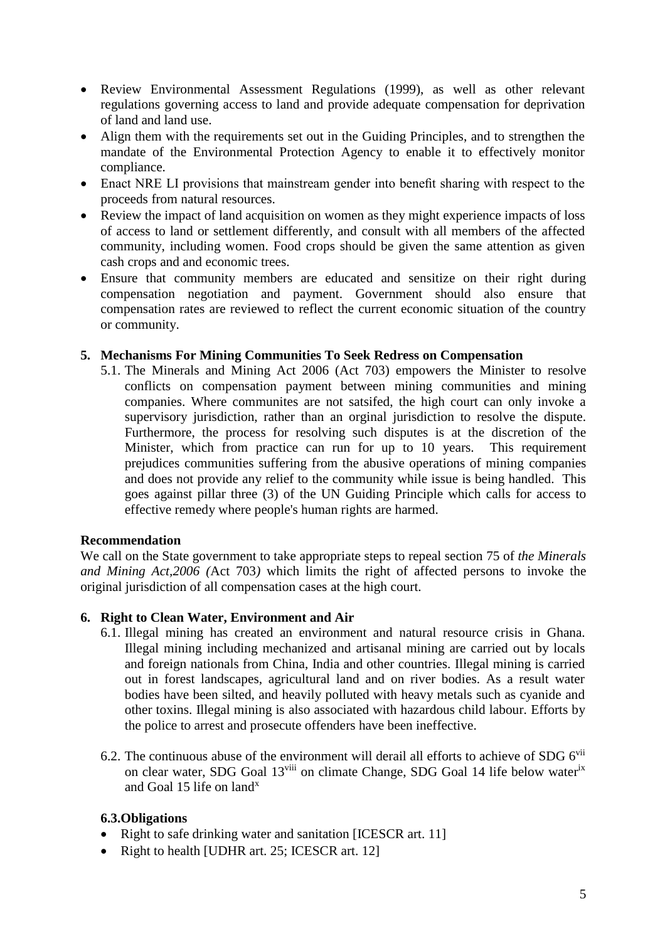- Review Environmental Assessment Regulations (1999), as well as other relevant regulations governing access to land and provide adequate compensation for deprivation of land and land use.
- Align them with the requirements set out in the Guiding Principles, and to strengthen the mandate of the Environmental Protection Agency to enable it to effectively monitor compliance.
- Enact NRE LI provisions that mainstream gender into benefit sharing with respect to the proceeds from natural resources.
- Review the impact of land acquisition on women as they might experience impacts of loss of access to land or settlement differently, and consult with all members of the affected community, including women. Food crops should be given the same attention as given cash crops and and economic trees.
- Ensure that community members are educated and sensitize on their right during compensation negotiation and payment. Government should also ensure that compensation rates are reviewed to reflect the current economic situation of the country or community.

#### **5. Mechanisms For Mining Communities To Seek Redress on Compensation**

5.1. The Minerals and Mining Act 2006 (Act 703) empowers the Minister to resolve conflicts on compensation payment between mining communities and mining companies. Where communites are not satsifed, the high court can only invoke a supervisory jurisdiction, rather than an orginal jurisdiction to resolve the dispute. Furthermore, the process for resolving such disputes is at the discretion of the Minister, which from practice can run for up to 10 years. This requirement prejudices communities suffering from the abusive operations of mining companies and does not provide any relief to the community while issue is being handled. This goes against pillar three (3) of the UN Guiding Principle which calls for access to effective remedy where people's human rights are harmed.

#### **Recommendation**

We call on the State government to take appropriate steps to repeal section 75 of *the Minerals and Mining Act,2006 (*Act 703*)* which limits the right of affected persons to invoke the original jurisdiction of all compensation cases at the high court.

#### **6. Right to Clean Water, Environment and Air**

- 6.1. Illegal mining has created an environment and natural resource crisis in Ghana. Illegal mining including mechanized and artisanal mining are carried out by locals and foreign nationals from China, India and other countries. Illegal mining is carried out in forest landscapes, agricultural land and on river bodies. As a result water bodies have been silted, and heavily polluted with heavy metals such as cyanide and other toxins. Illegal mining is also associated with hazardous child labour. Efforts by the police to arrest and prosecute offenders have been ineffective.
- 6.2. The continuous abuse of the environment will derail all efforts to achieve of SDG  $6^{vii}$ on clear water, SDG Goal 13<sup>viii</sup> on climate Change, SDG Goal 14 life below water<sup>ix</sup> and Goal 15 life on land<sup>x</sup>

### **6.3.Obligations**

- Right to safe drinking water and sanitation [ICESCR art. 11]
- Right to health [UDHR art. 25; ICESCR art. 12]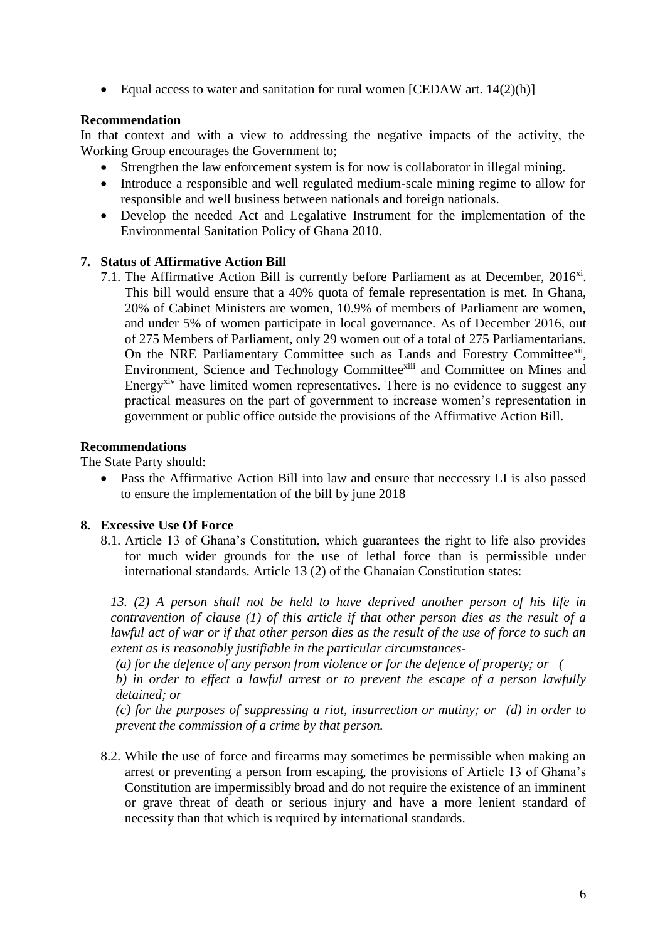• Equal access to water and sanitation for rural women [CEDAW art.  $14(2)(h)$ ]

#### **Recommendation**

In that context and with a view to addressing the negative impacts of the activity, the Working Group encourages the Government to;

- Strengthen the law enforcement system is for now is collaborator in illegal mining.
- Introduce a responsible and well regulated medium-scale mining regime to allow for responsible and well business between nationals and foreign nationals.
- Develop the needed Act and Legalative Instrument for the implementation of the Environmental Sanitation Policy of Ghana 2010.

### **7. Status of Affirmative Action Bill**

7.1. The Affirmative Action Bill is currently before Parliament as at December,  $2016^{xi}$ . This bill would ensure that a 40% quota of female representation is met. In Ghana, 20% of Cabinet Ministers are women, 10.9% of members of Parliament are women, and under 5% of women participate in local governance. As of December 2016, out of 275 Members of Parliament, only 29 women out of a total of 275 Parliamentarians. On the NRE Parliamentary Committee such as Lands and Forestry Committee<sup>xii</sup>, Environment, Science and Technology Committeexiii and Committee on Mines and Energy<sup>xiv</sup> have limited women representatives. There is no evidence to suggest any practical measures on the part of government to increase women's representation in government or public office outside the provisions of the Affirmative Action Bill.

#### **Recommendations**

The State Party should:

 Pass the Affirmative Action Bill into law and ensure that neccessry LI is also passed to ensure the implementation of the bill by june 2018

### **8. Excessive Use Of Force**

8.1. Article 13 of Ghana's Constitution, which guarantees the right to life also provides for much wider grounds for the use of lethal force than is permissible under international standards. Article 13 (2) of the Ghanaian Constitution states:

*13. (2) A person shall not be held to have deprived another person of his life in contravention of clause (1) of this article if that other person dies as the result of a lawful act of war or if that other person dies as the result of the use of force to such an extent as is reasonably justifiable in the particular circumstances-*

*(a) for the defence of any person from violence or for the defence of property; or (*

*b) in order to effect a lawful arrest or to prevent the escape of a person lawfully detained; or*

*(c) for the purposes of suppressing a riot, insurrection or mutiny; or (d) in order to prevent the commission of a crime by that person.*

8.2. While the use of force and firearms may sometimes be permissible when making an arrest or preventing a person from escaping, the provisions of Article 13 of Ghana's Constitution are impermissibly broad and do not require the existence of an imminent or grave threat of death or serious injury and have a more lenient standard of necessity than that which is required by international standards.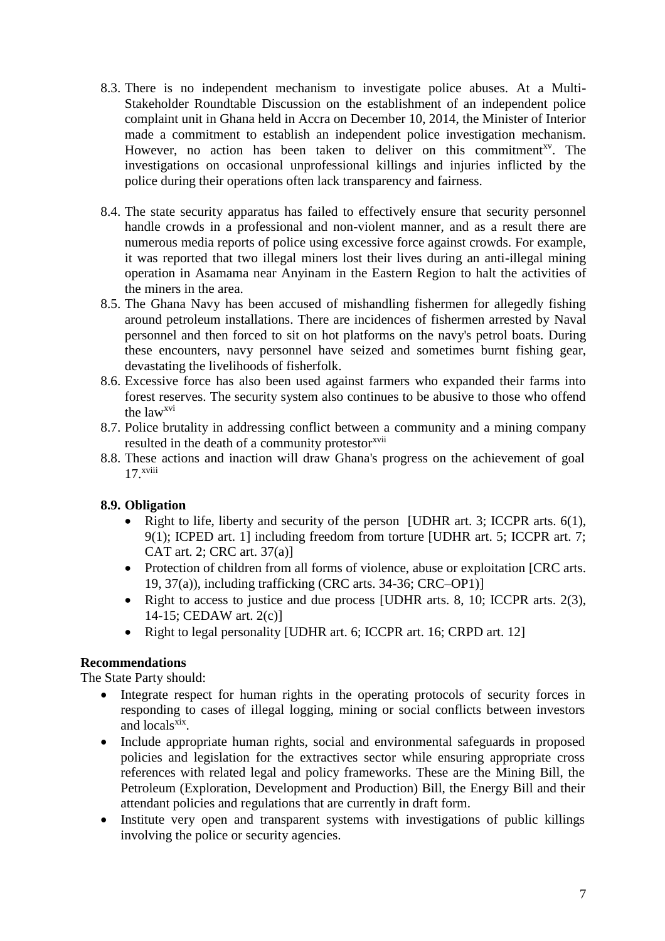- 8.3. There is no independent mechanism to investigate police abuses. At a Multi-Stakeholder Roundtable Discussion on the establishment of an independent police complaint unit in Ghana held in Accra on December 10, 2014, the Minister of Interior made a commitment to establish an independent police investigation mechanism. However, no action has been taken to deliver on this commitment<sup>xy</sup>. The investigations on occasional unprofessional killings and injuries inflicted by the police during their operations often lack transparency and fairness.
- 8.4. The state security apparatus has failed to effectively ensure that security personnel handle crowds in a professional and non-violent manner, and as a result there are numerous media reports of police using excessive force against crowds. For example, it was reported that two illegal miners lost their lives during an anti-illegal mining operation in Asamama near Anyinam in the Eastern Region to halt the activities of the miners in the area.
- 8.5. The Ghana Navy has been accused of mishandling fishermen for allegedly fishing around petroleum installations. There are incidences of fishermen arrested by Naval personnel and then forced to sit on hot platforms on the navy's petrol boats. During these encounters, navy personnel have seized and sometimes burnt fishing gear, devastating the livelihoods of fisherfolk.
- 8.6. Excessive force has also been used against farmers who expanded their farms into forest reserves. The security system also continues to be abusive to those who offend the lawxvi
- 8.7. Police brutality in addressing conflict between a community and a mining company resulted in the death of a community protestor<sup>xvii</sup>
- 8.8. These actions and inaction will draw Ghana's progress on the achievement of goal 17. xviii

## **8.9. Obligation**

- Right to life, liberty and security of the person [UDHR art. 3; ICCPR arts.  $6(1)$ , 9(1); ICPED art. 1] including freedom from torture [UDHR art. 5; ICCPR art. 7; CAT art. 2; CRC art. 37(a)]
- Protection of children from all forms of violence, abuse or exploitation [CRC arts. 19, 37(a)), including trafficking (CRC arts. 34-36; CRC–OP1)]
- Right to access to justice and due process [UDHR arts. 8, 10; ICCPR arts.  $2(3)$ , 14-15; CEDAW art. 2(c)]
- Right to legal personality [UDHR art. 6; ICCPR art. 16; CRPD art. 12]

## **Recommendations**

The State Party should:

- Integrate respect for human rights in the operating protocols of security forces in responding to cases of illegal logging, mining or social conflicts between investors and locals<sup>xix</sup>.
- Include appropriate human rights, social and environmental safeguards in proposed policies and legislation for the extractives sector while ensuring appropriate cross references with related legal and policy frameworks. These are the Mining Bill, the Petroleum (Exploration, Development and Production) Bill, the Energy Bill and their attendant policies and regulations that are currently in draft form.
- Institute very open and transparent systems with investigations of public killings involving the police or security agencies.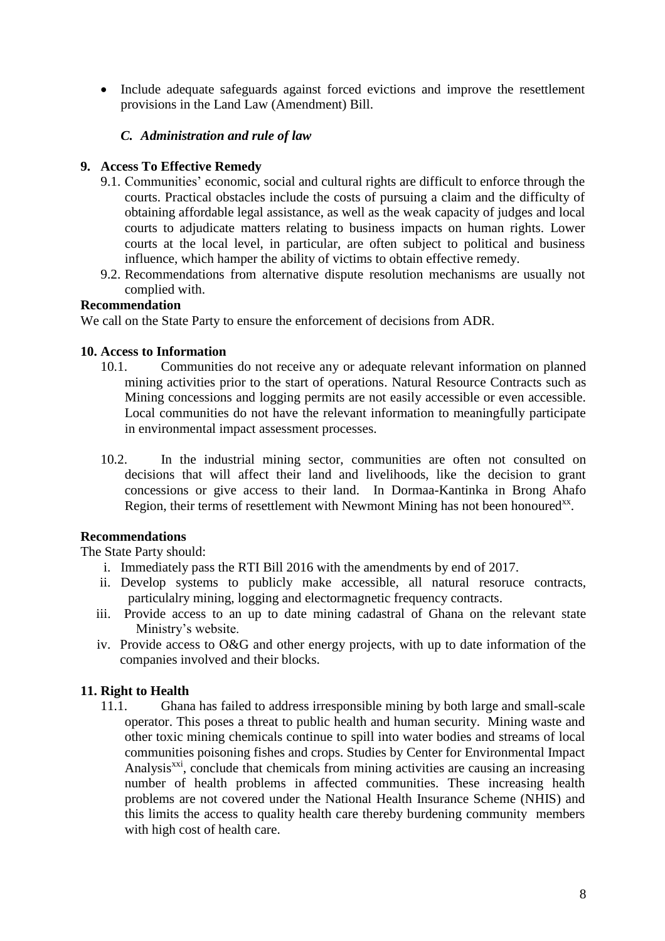• Include adequate safeguards against forced evictions and improve the resettlement provisions in the Land Law (Amendment) Bill.

## *C. Administration and rule of law*

## **9. Access To Effective Remedy**

- 9.1. Communities' economic, social and cultural rights are difficult to enforce through the courts. Practical obstacles include the costs of pursuing a claim and the difficulty of obtaining affordable legal assistance, as well as the weak capacity of judges and local courts to adjudicate matters relating to business impacts on human rights. Lower courts at the local level, in particular, are often subject to political and business influence, which hamper the ability of victims to obtain effective remedy.
- 9.2. Recommendations from alternative dispute resolution mechanisms are usually not complied with.

### **Recommendation**

We call on the State Party to ensure the enforcement of decisions from ADR.

### **10. Access to Information**

- 10.1. Communities do not receive any or adequate relevant information on planned mining activities prior to the start of operations. Natural Resource Contracts such as Mining concessions and logging permits are not easily accessible or even accessible. Local communities do not have the relevant information to meaningfully participate in environmental impact assessment processes.
- 10.2. In the industrial mining sector, communities are often not consulted on decisions that will affect their land and livelihoods, like the decision to grant concessions or give access to their land. In Dormaa-Kantinka in Brong Ahafo Region, their terms of resettlement with Newmont Mining has not been honoured<sup>xx</sup>.

## **Recommendations**

The State Party should:

- i. Immediately pass the RTI Bill 2016 with the amendments by end of 2017.
- ii. Develop systems to publicly make accessible, all natural resoruce contracts, particulalry mining, logging and electormagnetic frequency contracts.
- iii. Provide access to an up to date mining cadastral of Ghana on the relevant state Ministry's website.
- iv. Provide access to O&G and other energy projects, with up to date information of the companies involved and their blocks.

## **11. Right to Health**

11.1. Ghana has failed to address irresponsible mining by both large and small-scale operator. This poses a threat to public health and human security. Mining waste and other toxic mining chemicals continue to spill into water bodies and streams of local communities poisoning fishes and crops. Studies by Center for Environmental Impact Analysis<sup>xxi</sup>, conclude that chemicals from mining activities are causing an increasing number of health problems in affected communities. These increasing health problems are not covered under the National Health Insurance Scheme (NHIS) and this limits the access to quality health care thereby burdening community members with high cost of health care.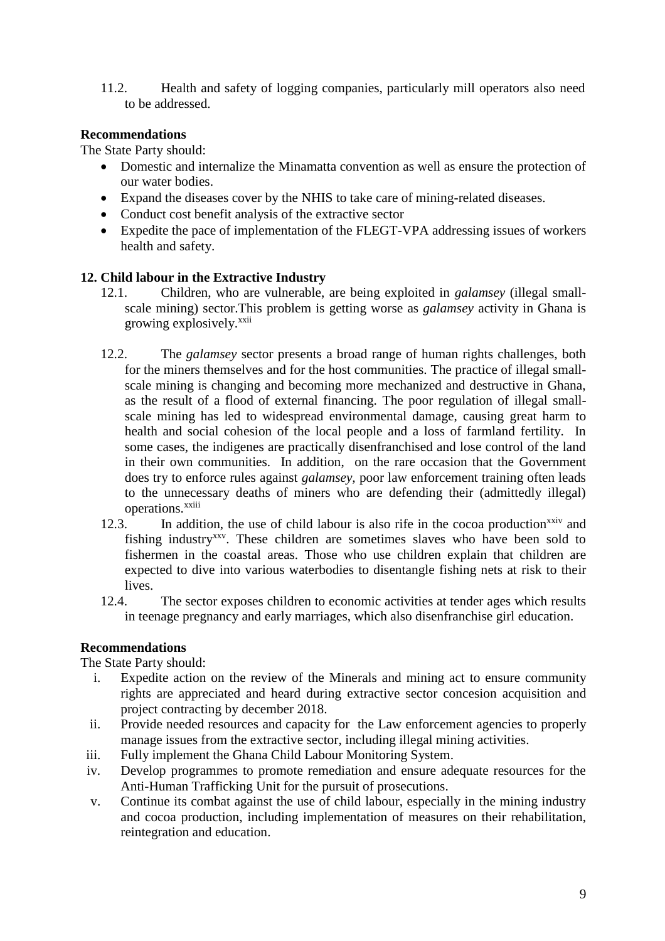11.2. Health and safety of logging companies, particularly mill operators also need to be addressed.

## **Recommendations**

The State Party should:

- Domestic and internalize the Minamatta convention as well as ensure the protection of our water bodies.
- Expand the diseases cover by the NHIS to take care of mining-related diseases.
- Conduct cost benefit analysis of the extractive sector
- Expedite the pace of implementation of the FLEGT-VPA addressing issues of workers health and safety.

## **12. Child labour in the Extractive Industry**

- 12.1. Children, who are vulnerable, are being exploited in *galamsey* (illegal smallscale mining) sector.This problem is getting worse as *galamsey* activity in Ghana is growing explosively.<sup>xxii</sup>
- 12.2. The *galamsey* sector presents a broad range of human rights challenges, both for the miners themselves and for the host communities. The practice of illegal smallscale mining is changing and becoming more mechanized and destructive in Ghana, as the result of a flood of external financing. The poor regulation of illegal smallscale mining has led to widespread environmental damage, causing great harm to health and social cohesion of the local people and a loss of farmland fertility. In some cases, the indigenes are practically disenfranchised and lose control of the land in their own communities. In addition, on the rare occasion that the Government does try to enforce rules against *galamsey,* poor law enforcement training often leads to the unnecessary deaths of miners who are defending their (admittedly illegal) operations.<sup>xxiii</sup>
- 12.3. In addition, the use of child labour is also rife in the cocoa production<sup>xxiv</sup> and fishing industry<sup>xxv</sup>. These children are sometimes slaves who have been sold to fishermen in the coastal areas. Those who use children explain that children are expected to dive into various waterbodies to disentangle fishing nets at risk to their lives.
- 12.4. The sector exposes children to economic activities at tender ages which results in teenage pregnancy and early marriages, which also disenfranchise girl education.

### **Recommendations**

The State Party should:

- i. Expedite action on the review of the Minerals and mining act to ensure community rights are appreciated and heard during extractive sector concesion acquisition and project contracting by december 2018.
- ii. Provide needed resources and capacity for the Law enforcement agencies to properly manage issues from the extractive sector, including illegal mining activities.
- iii. Fully implement the Ghana Child Labour Monitoring System.
- iv. Develop programmes to promote remediation and ensure adequate resources for the Anti-Human Trafficking Unit for the pursuit of prosecutions.
- v. Continue its combat against the use of child labour, especially in the mining industry and cocoa production, including implementation of measures on their rehabilitation, reintegration and education.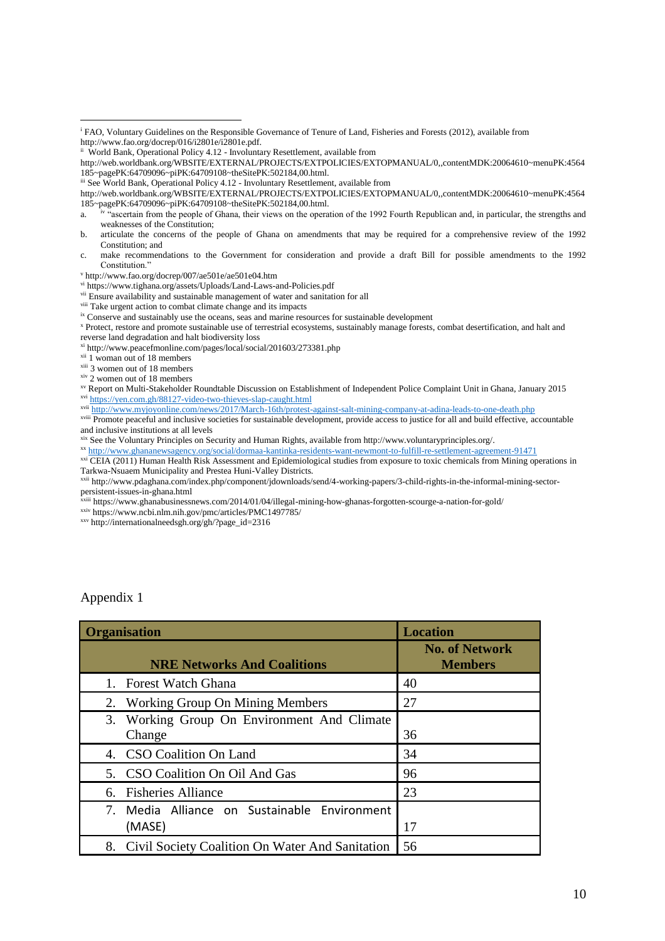ii World Bank, Operational Policy 4.12 - Involuntary Resettlement, available from

iii See World Bank, Operational Policy 4.12 - Involuntary Resettlement, available from

a. iv "ascertain from the people of Ghana, their views on the operation of the 1992 Fourth Republican and, in particular, the strengths and weaknesses of the Constitution;

ix Conserve and sustainably use the oceans, seas and marine resources for sustainable development

reverse land degradation and halt biodiversity loss

xi http://www.peacefmonline.com/pages/local/social/201603/273381.php

- xii 1 woman out of 18 members
- xiii 3 women out of 18 members

xiv 2 women out of 18 members

xvii <http://www.myjoyonline.com/news/2017/March-16th/protest-against-salt-mining-company-at-adina-leads-to-one-death.php>

xviii Promote peaceful and inclusive societies for sustainable development, provide access to justice for all and build effective, accountable and inclusive institutions at all levels

<sup>ix</sup> See the Voluntary Principles on Security and Human Rights, available from http://www.voluntaryprinciples.org/.

xx <http://www.ghananewsagency.org/social/dormaa-kantinka-residents-want-newmont-to-fulfill-re-settlement-agreement-91471>

xxi CEIA (2011) Human Health Risk Assessment and Epidemiological studies from exposure to toxic chemicals from Mining operations in Tarkwa-Nsuaem Municipality and Prestea Huni-Valley Districts.

xxii http://www.pdaghana.com/index.php/component/jdownloads/send/4-working-papers/3-child-rights-in-the-informal-mining-sectorpersistent-issues-in-ghana.html

xxiii https://www.ghanabusinessnews.com/2014/01/04/illegal-mining-how-ghanas-forgotten-scourge-a-nation-for-gold/

xxiv https://www.ncbi.nlm.nih.gov/pmc/articles/PMC1497785/

xxv http://internationalneedsgh.org/gh/?page\_id=2316

#### Appendix 1

| <b>Organisation</b> |                                                        | <b>Location</b>                         |
|---------------------|--------------------------------------------------------|-----------------------------------------|
|                     | <b>NRE Networks And Coalitions</b>                     | <b>No. of Network</b><br><b>Members</b> |
|                     | 1. Forest Watch Ghana                                  | 40                                      |
|                     | 2. Working Group On Mining Members                     | 27                                      |
|                     | 3. Working Group On Environment And Climate<br>Change  | 36                                      |
|                     | 4. CSO Coalition On Land                               | 34                                      |
|                     | 5. CSO Coalition On Oil And Gas                        | 96                                      |
|                     | 6. Fisheries Alliance                                  | 23                                      |
|                     | 7. Media Alliance on Sustainable Environment<br>(MASE) | 17                                      |
|                     | 8. Civil Society Coalition On Water And Sanitation     | 56                                      |

 $\overline{a}$ <sup>i</sup> FAO, Voluntary Guidelines on the Responsible Governance of Tenure of Land, Fisheries and Forests (2012), available from http://www.fao.org/docrep/016/i2801e/i2801e.pdf.

http://web.worldbank.org/WBSITE/EXTERNAL/PROJECTS/EXTPOLICIES/EXTOPMANUAL/0,,contentMDK:20064610~menuPK:4564 185~pagePK:64709096~piPK:64709108~theSitePK:502184,00.html.

http://web.worldbank.org/WBSITE/EXTERNAL/PROJECTS/EXTPOLICIES/EXTOPMANUAL/0,,contentMDK:20064610~menuPK:4564 185~pagePK:64709096~piPK:64709108~theSitePK:502184,00.html.

b. articulate the concerns of the people of Ghana on amendments that may be required for a comprehensive review of the 1992 Constitution; and

c. make recommendations to the Government for consideration and provide a draft Bill for possible amendments to the 1992 Constitution."

<sup>v</sup> http://www.fao.org/docrep/007/ae501e/ae501e04.htm

vi https://www.tighana.org/assets/Uploads/Land-Laws-and-Policies.pdf

vii Ensure availability and sustainable management of water and sanitation for all

viii Take urgent action to combat climate change and its impacts

<sup>x</sup> Protect, restore and promote sustainable use of terrestrial ecosystems, sustainably manage forests, combat desertification, and halt and

xv Report on Multi-Stakeholder Roundtable Discussion on Establishment of Independent Police Complaint Unit in Ghana, January 2015 xvi <https://yen.com.gh/88127-video-two-thieves-slap-caught.html>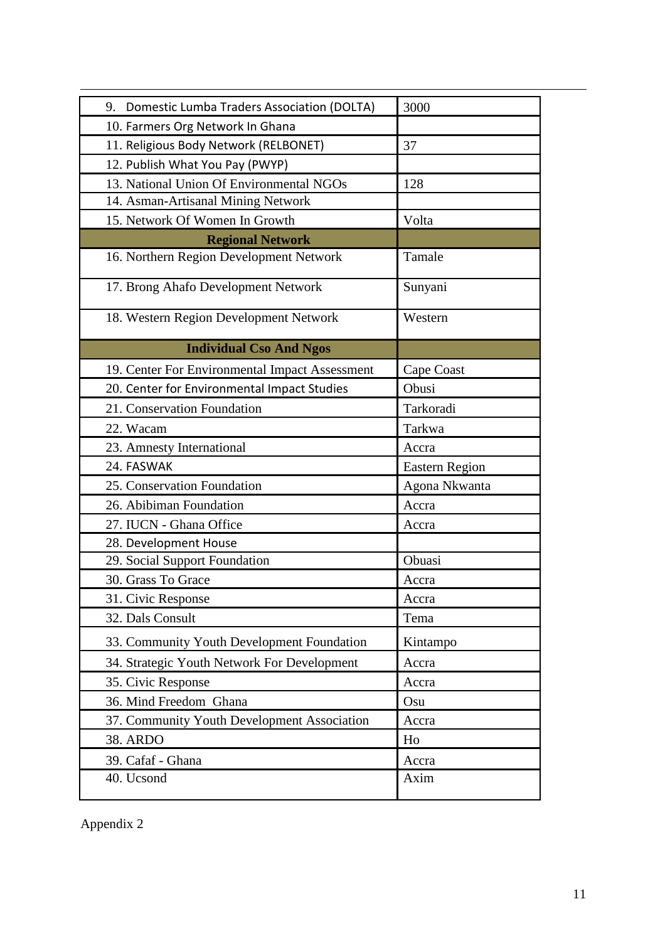| 9. Domestic Lumba Traders Association (DOLTA)  | 3000                  |
|------------------------------------------------|-----------------------|
| 10. Farmers Org Network In Ghana               |                       |
| 11. Religious Body Network (RELBONET)<br>37    |                       |
| 12. Publish What You Pay (PWYP)                |                       |
| 13. National Union Of Environmental NGOs       | 128                   |
| 14. Asman-Artisanal Mining Network             |                       |
| 15. Network Of Women In Growth                 | Volta                 |
| <b>Regional Network</b>                        |                       |
| 16. Northern Region Development Network        | Tamale                |
| 17. Brong Ahafo Development Network            | Sunyani               |
| 18. Western Region Development Network         | Western               |
| <b>Individual Cso And Ngos</b>                 |                       |
| 19. Center For Environmental Impact Assessment | Cape Coast            |
| 20. Center for Environmental Impact Studies    | Obusi                 |
| 21. Conservation Foundation                    | Tarkoradi             |
| 22. Wacam                                      | Tarkwa                |
| 23. Amnesty International                      | Accra                 |
| 24. FASWAK                                     | <b>Eastern Region</b> |
| 25. Conservation Foundation                    | Agona Nkwanta         |
| 26. Abibiman Foundation                        | Accra                 |
| 27. IUCN - Ghana Office                        | Accra                 |
| 28. Development House                          |                       |
| 29. Social Support Foundation                  | Obuasi                |
| 30. Grass To Grace                             | Accra                 |
| 31. Civic Response                             | Accra                 |
| 32. Dals Consult                               | Tema                  |
| 33. Community Youth Development Foundation     | Kintampo              |
| 34. Strategic Youth Network For Development    | Accra                 |
| 35. Civic Response                             | Accra                 |
| 36. Mind Freedom Ghana                         | Osu                   |
| 37. Community Youth Development Association    | Accra                 |
| <b>38. ARDO</b>                                | Ho                    |
| 39. Cafaf - Ghana                              | Accra                 |
| 40. Ucsond                                     | Axim                  |

Appendix 2